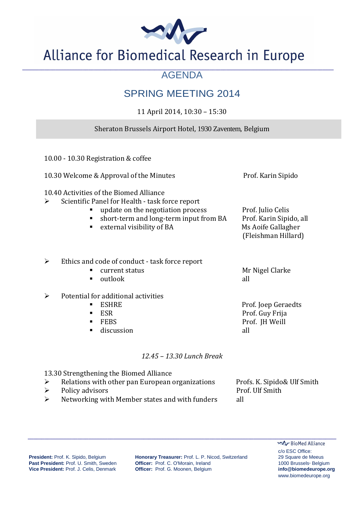

## Alliance for Biomedical Research in Europe

#### **\_\_\_\_\_\_\_\_\_\_\_\_\_\_\_\_\_\_\_\_\_\_\_\_\_\_\_\_\_\_\_\_\_\_\_\_\_\_\_\_\_\_\_\_\_\_\_\_\_\_\_\_\_\_\_\_\_\_\_\_\_\_\_\_\_\_\_\_\_\_\_\_\_\_\_\_\_\_\_\_\_\_\_\_\_\_\_\_\_\_\_\_\_\_\_\_\_\_\_\_\_\_\_\_\_\_\_\_\_\_\_\_\_**  AGENDA

### SPRING MEETING 2014

11 April 2014, 10:30 – 15:30

#### Sheraton Brussels Airport Hotel, 1930 Zaventem, Belgium

| 10.00 - 10.30 Registration & coffee                                                                                                                                                                                   |                                                                                           |
|-----------------------------------------------------------------------------------------------------------------------------------------------------------------------------------------------------------------------|-------------------------------------------------------------------------------------------|
| 10.30 Welcome & Approval of the Minutes                                                                                                                                                                               | Prof. Karin Sipido                                                                        |
| 10.40 Activities of the Biomed Alliance<br>Scientific Panel for Health - task force report<br>➤<br>update on the negotiation process<br>short-term and long-term input from BA<br>٠<br>external visibility of BA<br>٠ | Prof. Julio Celis<br>Prof. Karin Sipido, all<br>Ms Aoife Gallagher<br>(Fleishman Hillard) |
| Ethics and code of conduct - task force report<br>➤<br>current status<br>п<br>outlook<br>٠                                                                                                                            | Mr Nigel Clarke<br>all                                                                    |
| Potential for additional activities<br>➤<br><b>ESHRE</b><br>п<br><b>ESR</b><br>п<br><b>FEBS</b><br>п<br>discussion<br>٠                                                                                               | Prof. Joep Geraedts<br>Prof. Guy Frija<br>Prof. JH Weill<br>all                           |
| 12.45 - 13.30 Lunch Break                                                                                                                                                                                             |                                                                                           |
| 13.30 Strengthening the Biomed Alliance                                                                                                                                                                               |                                                                                           |

row strengmenting the biomed Amance<br>
in an examinations Profs. K. Sipido& Ulf Smith

Policy advisors Prof. Ulf Smith  $\triangleright$  Networking with Member states and with funders all

President: Prof. K. Sipido, Belgium **Honorary Treasurer:** Prof. L. P. Nicod, Switzerland 29 Square de Meeus **Past President:** Prof. U. Smith, Sweden **Officer:** Prof. C. O'Morain, Ireland 1000 Brussels· Belgium **Vice President:** Prof. J. Celis, Denmark **Officer:** Prof. G. Moonen, Belgium **info@biomedeurope.org**

 **\_\_\_\_\_\_\_\_\_\_\_\_\_\_\_\_\_\_\_\_\_\_\_\_\_\_\_\_\_\_\_\_\_\_\_\_\_\_\_\_\_\_\_\_\_\_\_\_\_\_\_\_\_\_\_\_\_\_\_\_\_\_\_\_\_\_\_\_\_\_\_\_\_\_\_\_\_\_\_\_\_\_\_\_\_\_\_\_\_\_\_\_\_\_\_\_\_\_\_\_\_\_\_\_\_\_\_\_\_\_\_\_** 

BioMed Alliance c/o ESC Office: www.biomedeurope.org